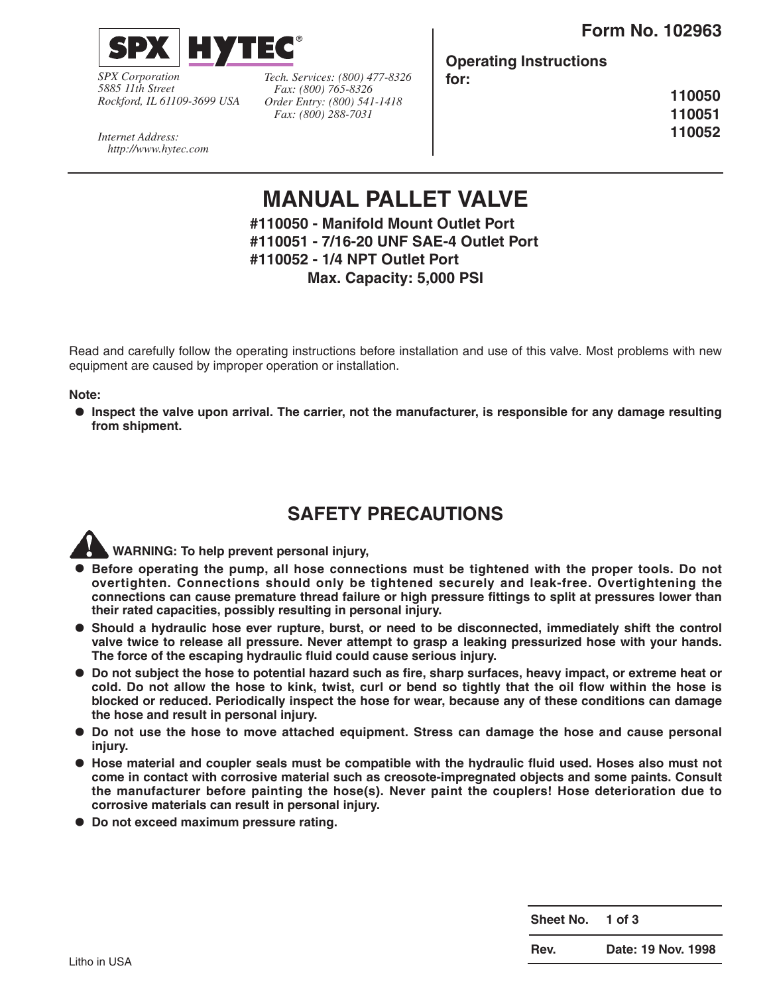

*SPX Corporation 5885 11th Street Rockford, IL 61109-3699 USA* *Tech. Services: (800) 477-8326 Fax: (800) 765-8326 Order Entry: (800) 541-1418 Fax: (800) 288-7031*

**Operating Instructions for:**

> **110050 110051 110052**

*Internet Address: http://www.hytec.com*

# **MANUAL PALLET VALVE**

**#110050 - Manifold Mount Outlet Port #110051 - 7/16-20 UNF SAE-4 Outlet Port #110052 - 1/4 NPT Outlet Port Max. Capacity: 5,000 PSI**

Read and carefully follow the operating instructions before installation and use of this valve. Most problems with new equipment are caused by improper operation or installation.

**Note:**

**• Inspect the valve upon arrival. The carrier, not the manufacturer, is responsible for any damage resulting from shipment.**

## **SAFETY PRECAUTIONS**

**WARNING: To help prevent personal injury,**

- **• Before operating the pump, all hose connections must be tightened with the proper tools. Do not overtighten. Connections should only be tightened securely and leak-free. Overtightening the connections can cause premature thread failure or high pressure fittings to split at pressures lower than their rated capacities, possibly resulting in personal injury.**
- **• Should a hydraulic hose ever rupture, burst, or need to be disconnected, immediately shift the control valve twice to release all pressure. Never attempt to grasp a leaking pressurized hose with your hands. The force of the escaping hydraulic fluid could cause serious injury.**
- **• Do not subject the hose to potential hazard such as fire, sharp surfaces, heavy impact, or extreme heat or cold. Do not allow the hose to kink, twist, curl or bend so tightly that the oil flow within the hose is blocked or reduced. Periodically inspect the hose for wear, because any of these conditions can damage the hose and result in personal injury.**
- **• Do not use the hose to move attached equipment. Stress can damage the hose and cause personal injury.**
- **• Hose material and coupler seals must be compatible with the hydraulic fluid used. Hoses also must not come in contact with corrosive material such as creosote-impregnated objects and some paints. Consult the manufacturer before painting the hose(s). Never paint the couplers! Hose deterioration due to corrosive materials can result in personal injury.**
- **• Do not exceed maximum pressure rating.**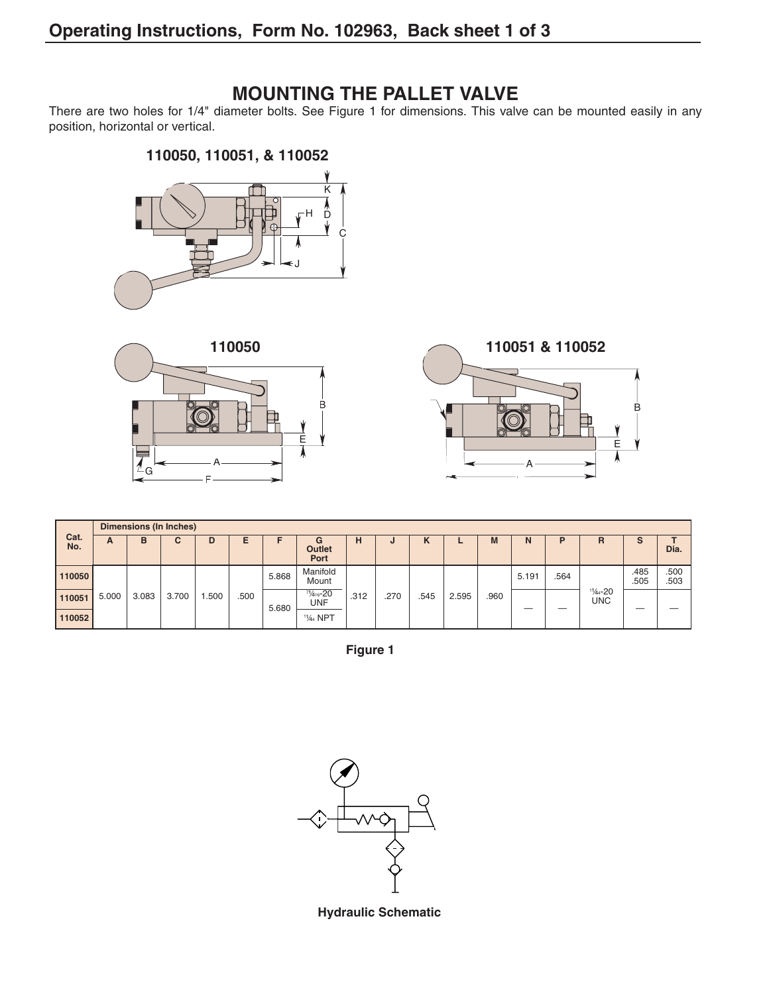#### **MOUNTING THE PALLET VALVE**

There are two holes for 1/4" diameter bolts. See Figure 1 for dimensions. This valve can be mounted easily in any position, horizontal or vertical.







|             | <b>Dimensions (In Inches)</b> |       |       |      |      |       |                                   |      |      |        |       |      |       |      |                                    |              |              |
|-------------|-------------------------------|-------|-------|------|------|-------|-----------------------------------|------|------|--------|-------|------|-------|------|------------------------------------|--------------|--------------|
| Cat.<br>No. | A                             | в     | C     | D    | Е    |       | G<br>Outlet<br>Port               | н    | п    | r<br>N | −     | M    | N     | Б    | R                                  | s            | Dia.         |
| 110050      | 5.000                         | 3.083 | 3.700 | .500 | .500 | 5.868 | Manifold<br>Mount                 | .312 | .270 | .545   | 2.595 | .960 | 5.191 | .564 | $1\frac{1}{44} - 20$<br><b>UNC</b> | .485<br>.505 | .500<br>.503 |
| 110051      |                               |       |       |      |      | 5.680 | $71/416 - 20$<br><b>UNF</b>       |      |      |        |       |      | -     |      |                                    | __           |              |
| 110052      |                               |       |       |      |      |       | <sup>11</sup> / <sub>44</sub> NPT |      |      |        |       |      |       |      |                                    |              |              |

**Figure 1**



**Hydraulic Schematic**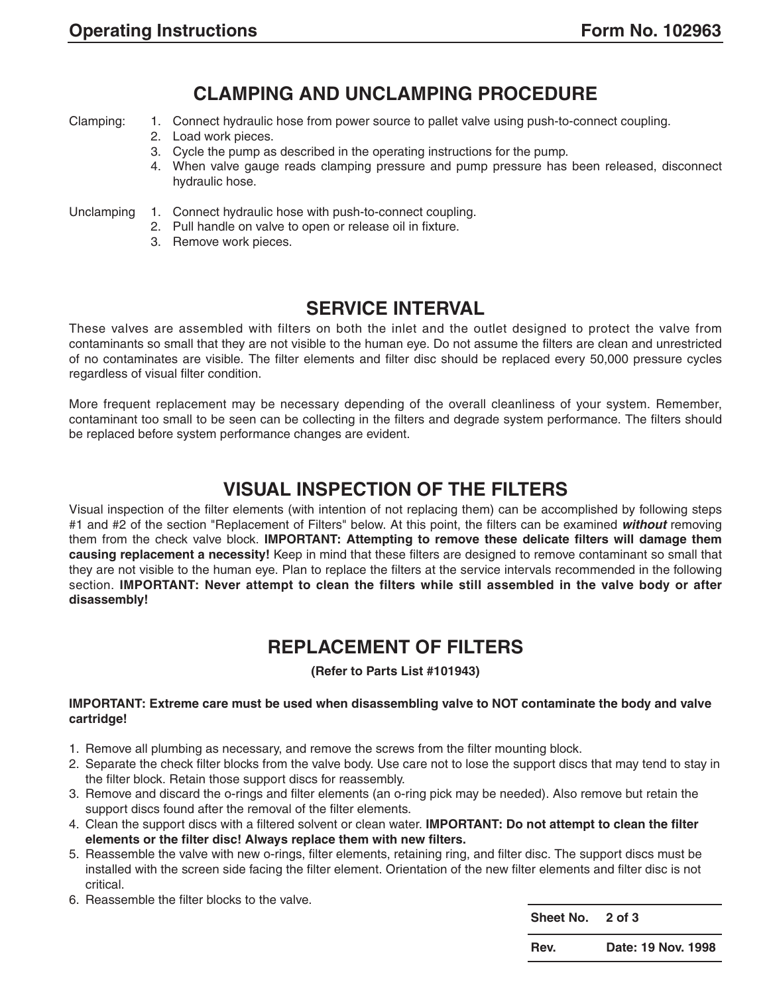#### **CLAMPING AND UNCLAMPING PROCEDURE**

- Clamping: 1. Connect hydraulic hose from power source to pallet valve using push-to-connect coupling.
	- 2. Load work pieces.
	- 3. Cycle the pump as described in the operating instructions for the pump.
	- 4. When valve gauge reads clamping pressure and pump pressure has been released, disconnect hydraulic hose.

Unclamping 1. Connect hydraulic hose with push-to-connect coupling.

- 2. Pull handle on valve to open or release oil in fixture.
- 3. Remove work pieces.

## **SERVICE INTERVAL**

These valves are assembled with filters on both the inlet and the outlet designed to protect the valve from contaminants so small that they are not visible to the human eye. Do not assume the filters are clean and unrestricted of no contaminates are visible. The filter elements and filter disc should be replaced every 50,000 pressure cycles regardless of visual filter condition.

More frequent replacement may be necessary depending of the overall cleanliness of your system. Remember, contaminant too small to be seen can be collecting in the filters and degrade system performance. The filters should be replaced before system performance changes are evident.

## **VISUAL INSPECTION OF THE FILTERS**

Visual inspection of the filter elements (with intention of not replacing them) can be accomplished by following steps #1 and #2 of the section "Replacement of Filters" below. At this point, the filters can be examined **without** removing them from the check valve block. **IMPORTANT: Attempting to remove these delicate filters will damage them causing replacement a necessity!** Keep in mind that these filters are designed to remove contaminant so small that they are not visible to the human eye. Plan to replace the filters at the service intervals recommended in the following section. **IMPORTANT: Never attempt to clean the filters while still assembled in the valve body or after disassembly!**

## **REPLACEMENT OF FILTERS**

**(Refer to Parts List #101943)**

#### **IMPORTANT: Extreme care must be used when disassembling valve to NOT contaminate the body and valve cartridge!**

- 1. Remove all plumbing as necessary, and remove the screws from the filter mounting block.
- 2. Separate the check filter blocks from the valve body. Use care not to lose the support discs that may tend to stay in the filter block. Retain those support discs for reassembly.
- 3. Remove and discard the o-rings and filter elements (an o-ring pick may be needed). Also remove but retain the support discs found after the removal of the filter elements.
- 4. Clean the support discs with a filtered solvent or clean water. **IMPORTANT: Do not attempt to clean the filter elements or the filter disc! Always replace them with new filters.**
- 5. Reassemble the valve with new o-rings, filter elements, retaining ring, and filter disc. The support discs must be installed with the screen side facing the filter element. Orientation of the new filter elements and filter disc is not critical.
- 6. Reassemble the filter blocks to the valve.

**Sheet No. 2 of 3**

**Rev. Date: 19 Nov. 1998**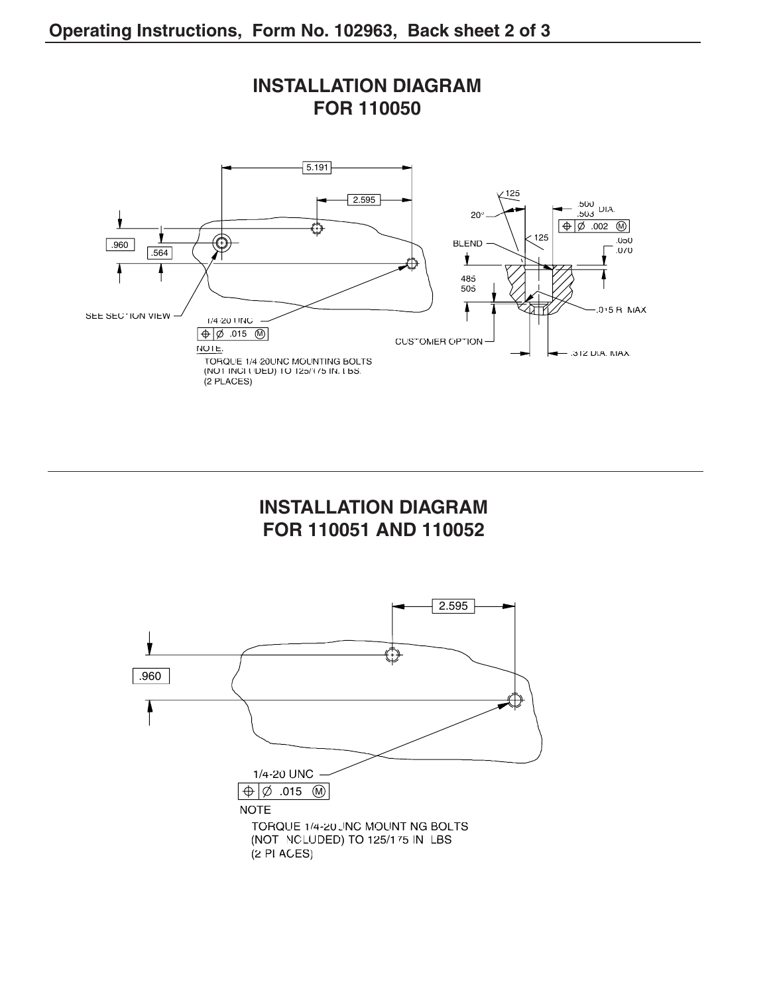

## **INSTALLATION DIAGRAM FOR 110051 AND 110052**



## **INSTALLATION DIAGRAM FOR 110050**